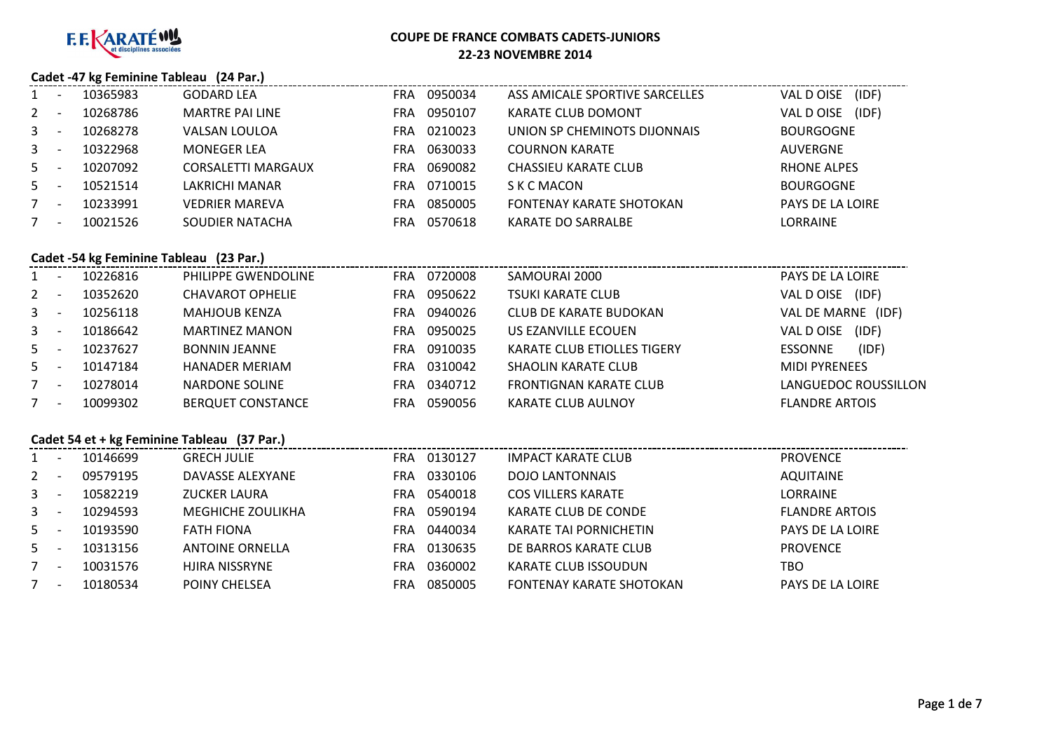

### **Cadet -47 kg Feminine Tableau (24 Par.)**

|              | 10365983 | <b>GODARD LEA</b>      | <b>FRA</b> | 0950034 | ASS AMICALE SPORTIVE SARCELLES  | (IDF)<br>VAL D OISE     |
|--------------|----------|------------------------|------------|---------|---------------------------------|-------------------------|
| $2^{\circ}$  | 10268786 | <b>MARTRE PAI LINE</b> | <b>FRA</b> | 0950107 | <b>KARATE CLUB DOMONT</b>       | VAL D OISE<br>(IDF)     |
| $\mathbf{3}$ | 10268278 | VALSAN LOULOA          | FRA        | 0210023 | UNION SP CHEMINOTS DIJONNAIS    | <b>BOURGOGNE</b>        |
| $3 -$        | 10322968 | <b>MONEGER LEA</b>     | FRA        | 0630033 | <b>COURNON KARATE</b>           | AUVERGNE                |
| $5 -$        | 10207092 | CORSALETTI MARGAUX     | <b>FRA</b> | 0690082 | CHASSIEU KARATE CLUB            | <b>RHONE ALPES</b>      |
| $5 -$        | 10521514 | LAKRICHI MANAR         | FRA        | 0710015 | S K C MACON                     | <b>BOURGOGNE</b>        |
|              | 10233991 | <b>VEDRIER MAREVA</b>  | FRA        | 0850005 | <b>FONTENAY KARATE SHOTOKAN</b> | <b>PAYS DE LA LOIRE</b> |
|              | 10021526 | SOUDIER NATACHA        | FRA        | 0570618 | <b>KARATE DO SARRALBE</b>       | LORRAINE                |

#### **Cadet -54 kg Feminine Tableau (23 Par.)**

| 10226816<br>$1 \quad$    | PHILIPPE GWENDOLINE      | FRA | 0720008 | SAMOURAI 2000                 | PAYS DE LA LOIRE        |
|--------------------------|--------------------------|-----|---------|-------------------------------|-------------------------|
| $2^{\circ}$<br>10352620  | CHAVAROT OPHELIE         | FRA | 0950622 | <b>TSUKI KARATE CLUB</b>      | (IDF)<br>VAL DOISE      |
| $\mathbf{3}$<br>10256118 | <b>MAHJOUB KENZA</b>     | FRA | 0940026 | <b>CLUB DE KARATE BUDOKAN</b> | VAL DE MARNE<br>(IDF)   |
| $\mathbf{3}$<br>10186642 | <b>MARTINEZ MANON</b>    | FRA | 0950025 | US EZANVILLE ECOUEN           | (IDF)<br>VAL D OISE     |
| $5 -$<br>10237627        | <b>BONNIN JEANNE</b>     | FRA | 0910035 | KARATE CLUB ETIOLLES TIGERY   | (IDF)<br><b>ESSONNE</b> |
| $5 -$<br>10147184        | <b>HANADER MERIAM</b>    | FRA | 0310042 | SHAOLIN KARATE CLUB           | <b>MIDI PYRENEES</b>    |
| 10278014<br>7            | NARDONE SOLINE           | FRA | 0340712 | <b>FRONTIGNAN KARATE CLUB</b> | LANGUEDOC ROUSSILLON    |
| 10099302<br>7            | <b>BERQUET CONSTANCE</b> | FRA | 0590056 | <b>KARATE CLUB AULNOY</b>     | <b>FLANDRE ARTOIS</b>   |

### **Cadet 54 et + kg Feminine Tableau (37 Par.)**

|              | Cadet 54 et + kg Feminine Tableau (37 Par.) |          |                          |            |         |                               |                       |  |  |  |  |
|--------------|---------------------------------------------|----------|--------------------------|------------|---------|-------------------------------|-----------------------|--|--|--|--|
| 1            |                                             | 10146699 | <b>GRECH JULIE</b>       | <b>FRA</b> | 0130127 | <b>IMPACT KARATE CLUB</b>     | <b>PROVENCE</b>       |  |  |  |  |
| $2^{\circ}$  |                                             | 09579195 | DAVASSE ALEXYANE         | <b>FRA</b> | 0330106 | <b>DOJO LANTONNAIS</b>        | <b>AQUITAINE</b>      |  |  |  |  |
| $\mathbf{3}$ |                                             | 10582219 | <b>ZUCKER LAURA</b>      | <b>FRA</b> | 0540018 | <b>COS VILLERS KARATE</b>     | <b>LORRAINE</b>       |  |  |  |  |
| $\mathbf{3}$ |                                             | 10294593 | <b>MEGHICHE ZOULIKHA</b> | <b>FRA</b> | 0590194 | KARATE CLUB DE CONDE          | <b>FLANDRE ARTOIS</b> |  |  |  |  |
| $5 -$        |                                             | 10193590 | <b>FATH FIONA</b>        | <b>FRA</b> | 0440034 | <b>KARATE TAI PORNICHETIN</b> | PAYS DE LA LOIRE      |  |  |  |  |
| $5 -$        |                                             | 10313156 | <b>ANTOINE ORNELLA</b>   | <b>FRA</b> | 0130635 | DE BARROS KARATE CLUB         | <b>PROVENCE</b>       |  |  |  |  |
| 7            |                                             | 10031576 | HJIRA NISSRYNE           | <b>FRA</b> | 0360002 | KARATE CLUB ISSOUDUN          | TBO                   |  |  |  |  |
| $7^{\circ}$  |                                             | 10180534 | POINY CHELSEA            | FRA        | 0850005 | FONTENAY KARATE SHOTOKAN      | PAYS DE LA LOIRE      |  |  |  |  |
|              |                                             |          |                          |            |         |                               |                       |  |  |  |  |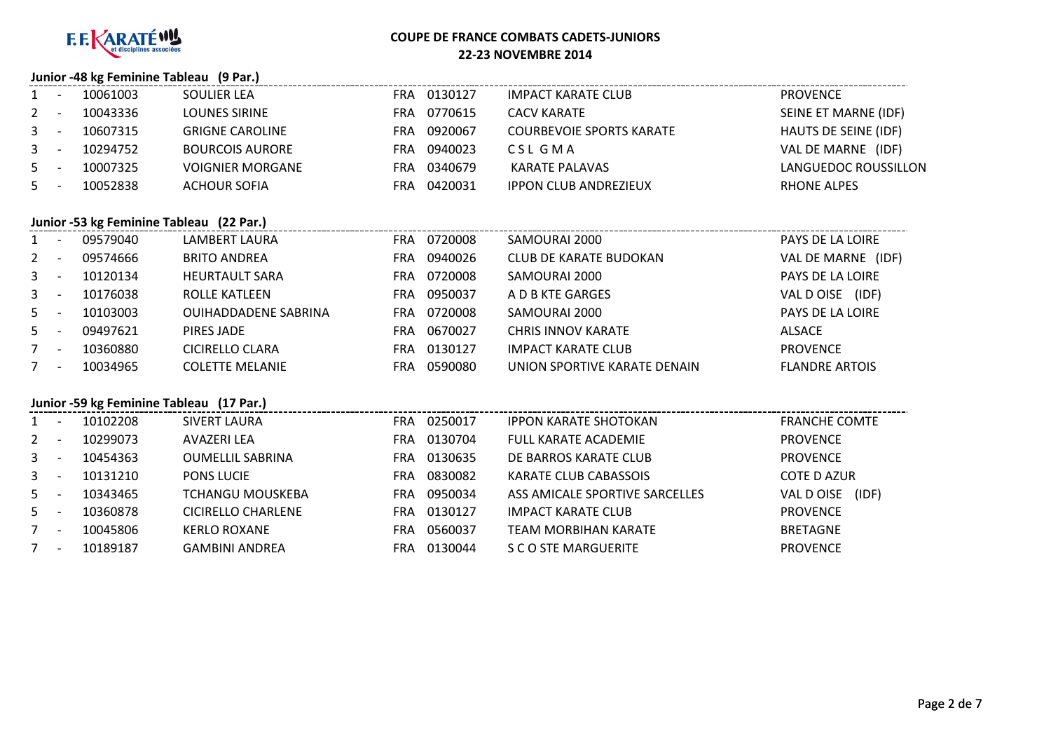

#### **Junior -48 kg Feminine Tableau (9 Par.)**

| 1     | 10061003 | SOULIER LEA             |            | FRA 0130127 | IMPACT KARATE CLUB              | PROVENCE             |
|-------|----------|-------------------------|------------|-------------|---------------------------------|----------------------|
| $2 -$ | 10043336 | <b>LOUNES SIRINE</b>    | FRA        | 0770615     | CACV KARATE                     | SEINE ET MARNE (IDF) |
| $3 -$ | 10607315 | <b>GRIGNE CAROLINE</b>  | FRA        | 0920067     | <b>COURBEVOIE SPORTS KARATE</b> | HAUTS DE SEINE (IDF) |
| $3 -$ | 10294752 | <b>BOURCOIS AURORE</b>  | FRA        | 0940023     | CSL GMA                         | VAL DE MARNE (IDF)   |
| $5 -$ | 10007325 | <b>VOIGNIER MORGANE</b> | <b>FRA</b> | 0340679     | KARATE PALAVAS                  | LANGUEDOC ROUSSILLON |
| $5 -$ | 10052838 | ACHOUR SOFIA            | FRA        | 0420031     | <b>IPPON CLUB ANDREZIEUX</b>    | RHONE ALPES          |

## **Junior -53 kg Feminine Tableau (22 Par.)**

|                | JUINCE TO A FERRIT LADICAU (22 FAI.) |                             |     |         |                              |                       |
|----------------|--------------------------------------|-----------------------------|-----|---------|------------------------------|-----------------------|
| $\mathbf{1}$   | 09579040                             | LAMBERT LAURA               | FRA | 0720008 | SAMOURAI 2000                | PAYS DE LA LOIRE      |
| $\overline{2}$ | 09574666                             | <b>BRITO ANDREA</b>         | FRA | 0940026 | CLUB DE KARATE BUDOKAN       | VAL DE MARNE (IDF)    |
| $\mathbf{3}$   | 10120134                             | <b>HEURTAULT SARA</b>       | FRA | 0720008 | SAMOURAI 2000                | PAYS DE LA LOIRE      |
| $3^{\circ}$    | 10176038                             | ROLLE KATLEEN               | FRA | 0950037 | A D B KTE GARGES             | (IDF)<br>VAL D OISE   |
| $5 -$          | 10103003                             | <b>OUIHADDADENE SABRINA</b> | FRA | 0720008 | SAMOURAI 2000                | PAYS DE LA LOIRE      |
| $5 -$          | 09497621                             | PIRES JADE                  | FRA | 0670027 | <b>CHRIS INNOV KARATE</b>    | ALSACE                |
|                | 10360880                             | CICIRELLO CLARA             | FRA | 0130127 | <b>IMPACT KARATE CLUB</b>    | <b>PROVENCE</b>       |
| 7              | 10034965                             | <b>COLETTE MELANIE</b>      | FRA | 0590080 | UNION SPORTIVE KARATE DENAIN | <b>FLANDRE ARTOIS</b> |
|                |                                      |                             |     |         |                              |                       |

## **Junior -59 kg Feminine Tableau (17 Par.)**

| $1 \quad$   | 10102208 | SIVERT LAURA            | FRA | 0250017 | <b>IPPON KARATE SHOTOKAN</b>   | <b>FRANCHE COMTE</b> |
|-------------|----------|-------------------------|-----|---------|--------------------------------|----------------------|
| $2^{\circ}$ | 10299073 | AVAZERI LEA             | FRA | 0130704 | <b>FULL KARATE ACADEMIE</b>    | <b>PROVENCE</b>      |
| $3 -$       | 10454363 | <b>OUMELLIL SABRINA</b> | FRA | 0130635 | DE BARROS KARATE CLUB          | <b>PROVENCE</b>      |
| $3 -$       | 10131210 | <b>PONS LUCIE</b>       | FRA | 0830082 | <b>KARATE CLUB CABASSOIS</b>   | <b>COTE D AZUR</b>   |
| $5 -$       | 10343465 | <b>TCHANGU MOUSKEBA</b> | FRA | 0950034 | ASS AMICALE SPORTIVE SARCELLES | (IDF)<br>VAL D OISE  |
| $5 -$       | 10360878 | CICIRELLO CHARLENE      | FRA | 0130127 | <b>IMPACT KARATE CLUB</b>      | <b>PROVENCE</b>      |
|             | 10045806 | <b>KERLO ROXANE</b>     | FRA | 0560037 | <b>TEAM MORBIHAN KARATE</b>    | <b>BRETAGNE</b>      |
|             | 10189187 | <b>GAMBINI ANDREA</b>   | FRA | 0130044 | S C O STE MARGUERITE           | <b>PROVENCE</b>      |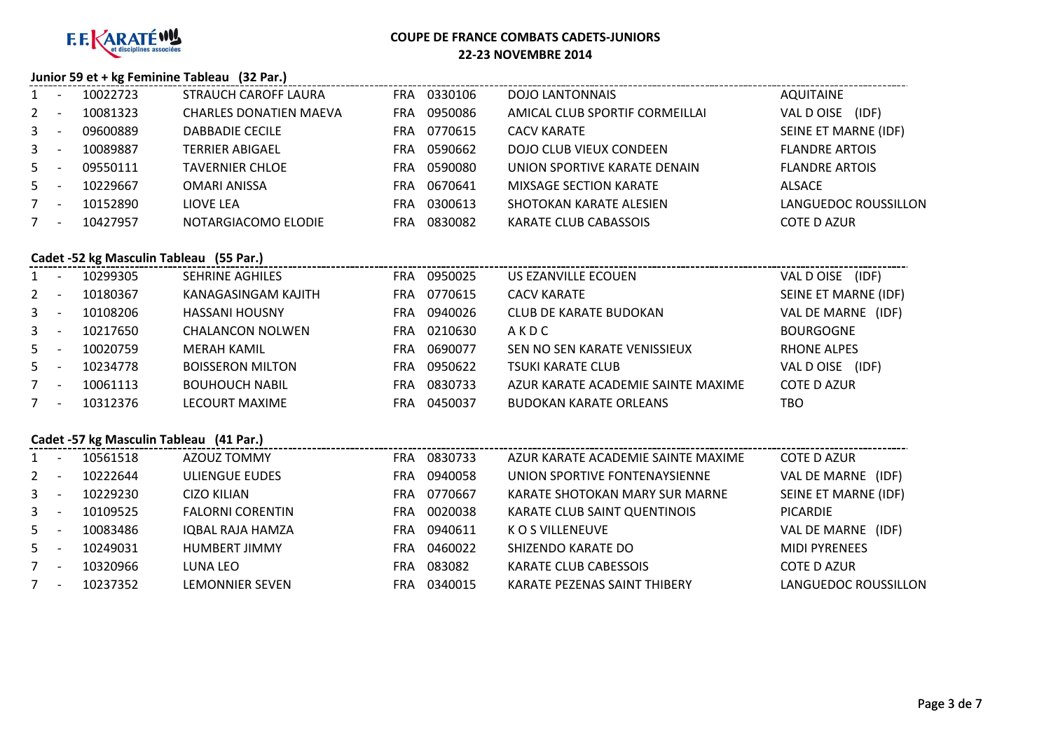

#### **Junior 59 et + kg Feminine Tableau (32 Par.)**

| $1 \quad$      | 10022723 | STRAUCH CAROFF LAURA          | FRA | 0330106 | DOJO LANTONNAIS                | AQUITAINE             |
|----------------|----------|-------------------------------|-----|---------|--------------------------------|-----------------------|
| $2^{\circ}$    | 10081323 | <b>CHARLES DONATIEN MAEVA</b> | FRA | 0950086 | AMICAL CLUB SPORTIF CORMEILLAI | VAL DOISE<br>(IDF)    |
| 3 <sup>1</sup> | 09600889 | <b>DABBADIE CECILE</b>        | FRA | 0770615 | CACV KARATE                    | SEINE ET MARNE (IDF)  |
| $\mathbf{3}$   | 10089887 | TERRIER ABIGAEL               | FRA | 0590662 | DOJO CLUB VIEUX CONDEEN        | <b>FLANDRE ARTOIS</b> |
| 5              | 09550111 | <b>TAVERNIER CHLOE</b>        | FRA | 0590080 | UNION SPORTIVE KARATE DENAIN   | <b>FLANDRE ARTOIS</b> |
| 5              | 10229667 | <b>OMARI ANISSA</b>           | FRA | 0670641 | <b>MIXSAGE SECTION KARATE</b>  | ALSACE                |
| 7              | 10152890 | LIOVE LEA                     | FRA | 0300613 | SHOTOKAN KARATE ALESIEN        | LANGUEDOC ROUSSILLON  |
|                | 10427957 | NOTARGIACOMO ELODIE           | FRA | 0830082 | KARATE CLUB CABASSOIS          | <b>COTE D AZUR</b>    |

## **Cadet -52 kg Masculin Tableau (55 Par.)**

| $1 \quad$    | 10299305 | <b>SEHRINE AGHILES</b>  | FRA | 0950025 | US EZANVILLE ECOUEN                | (IDF)<br>VAL D OISE  |
|--------------|----------|-------------------------|-----|---------|------------------------------------|----------------------|
| $2^{\circ}$  | 10180367 | KANAGASINGAM KAJITH     | FRA | 0770615 | <b>CACV KARATE</b>                 | SEINE ET MARNE (IDF) |
| $\mathbf{3}$ | 10108206 | <b>HASSANI HOUSNY</b>   | FRA | 0940026 | <b>CLUB DE KARATE BUDOKAN</b>      | VAL DE MARNE (IDF)   |
| $\mathbf{3}$ | 10217650 | <b>CHALANCON NOLWEN</b> | FRA | 0210630 | AKDC                               | <b>BOURGOGNE</b>     |
| $5 -$        | 10020759 | MERAH KAMIL             | FRA | 0690077 | SEN NO SEN KARATE VENISSIEUX       | <b>RHONE ALPES</b>   |
| 5            | 10234778 | <b>BOISSERON MILTON</b> | FRA | 0950622 | <b>TSUKI KARATE CLUB</b>           | VAL D OISE<br>(IDF)  |
|              | 10061113 | <b>BOUHOUCH NABIL</b>   | FRA | 0830733 | AZUR KARATE ACADEMIE SAINTE MAXIME | <b>COTE D AZUR</b>   |
|              | 10312376 | LECOURT MAXIME          | FRA | 0450037 | <b>BUDOKAN KARATE ORLEANS</b>      | тво                  |

## **Cadet -57 kg Masculin Tableau (41 Par.)**

|             | Cadel -57 Kg Masculin Tableau (41 Par.) |          |                         |                       |                                    |                       |  |  |  |  |  |  |  |
|-------------|-----------------------------------------|----------|-------------------------|-----------------------|------------------------------------|-----------------------|--|--|--|--|--|--|--|
| 1           |                                         | 10561518 | AZOUZ TOMMY             | 0830733<br><b>FRA</b> | AZUR KARATE ACADEMIE SAINTE MAXIME | <b>COTE D AZUR</b>    |  |  |  |  |  |  |  |
| $2^{\circ}$ |                                         | 10222644 | ULIENGUE EUDES          | 0940058<br>FRA        | UNION SPORTIVE FONTENAYSIENNE      | VAL DE MARNE<br>(IDF) |  |  |  |  |  |  |  |
|             | $3 -$                                   | 10229230 | CIZO KILIAN             | 0770667<br>FRA        | KARATE SHOTOKAN MARY SUR MARNE     | SEINE ET MARNE (IDF)  |  |  |  |  |  |  |  |
|             | $3 -$                                   | 10109525 | <b>FALORNI CORENTIN</b> | 0020038<br>FRA        | KARATE CLUB SAINT QUENTINOIS       | <b>PICARDIE</b>       |  |  |  |  |  |  |  |
|             | $5 -$                                   | 10083486 | IQBAL RAJA HAMZA        | 0940611<br>FRA        | K O S VILLENEUVE                   | VAL DE MARNE<br>(IDF) |  |  |  |  |  |  |  |
|             | $5 -$                                   | 10249031 | <b>HUMBERT JIMMY</b>    | 0460022<br>FRA        | SHIZENDO KARATE DO                 | <b>MIDI PYRENEES</b>  |  |  |  |  |  |  |  |
| $7^{\circ}$ |                                         | 10320966 | LUNA LEO                | 083082<br>FRA         | KARATE CLUB CABESSOIS              | <b>COTE D AZUR</b>    |  |  |  |  |  |  |  |
| $7^{\circ}$ |                                         | 10237352 | LEMONNIER SEVEN         | 0340015<br>FRA        | KARATE PEZENAS SAINT THIBERY       | LANGUEDOC ROUSSILLON  |  |  |  |  |  |  |  |
|             |                                         |          |                         |                       |                                    |                       |  |  |  |  |  |  |  |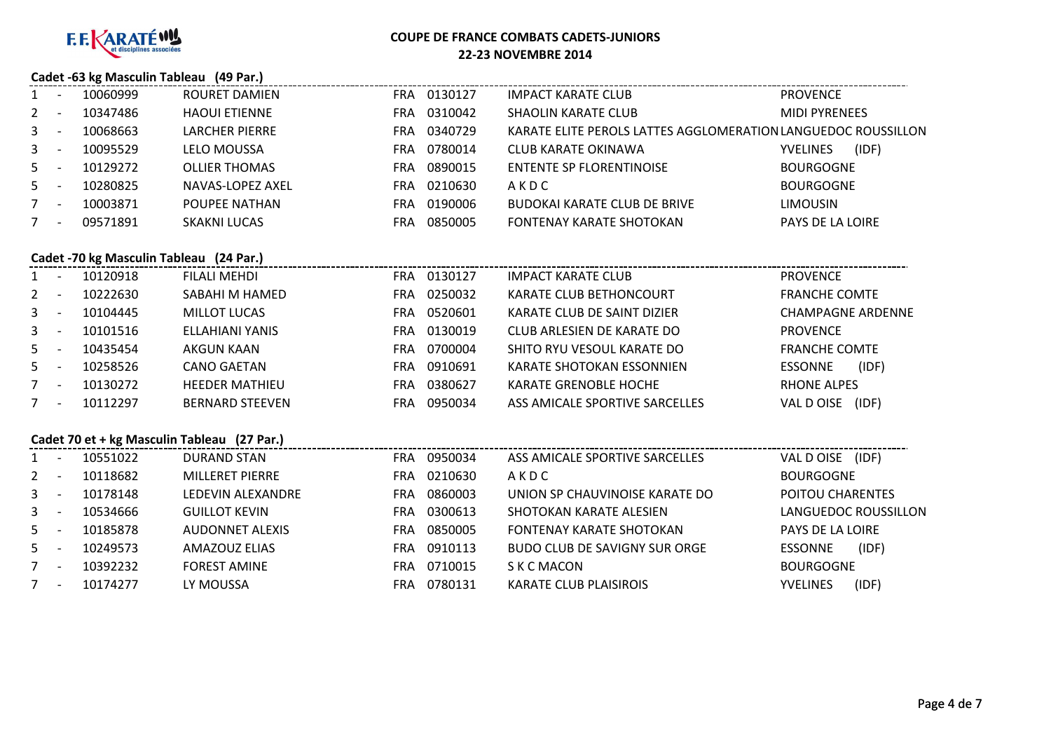

## **Cadet -63 kg Masculin Tableau (49 Par.)**

|                | 10060999 | ROURET DAMIEN        | <b>FRA</b> | 0130127 | <b>IMPACT KARATE CLUB</b>                                     | <b>PROVENCE</b>          |
|----------------|----------|----------------------|------------|---------|---------------------------------------------------------------|--------------------------|
| 2              | 10347486 | <b>HAOUI ETIENNE</b> | <b>FRA</b> | 0310042 | <b>SHAOLIN KARATE CLUB</b>                                    | <b>MIDI PYRENEES</b>     |
| 3 <sup>1</sup> | 10068663 | LARCHER PIERRE       | FRA        | 0340729 | KARATE ELITE PEROLS LATTES AGGLOMERATION LANGUEDOC ROUSSILLON |                          |
| 3 <sup>1</sup> | 10095529 | LELO MOUSSA          | FRA        | 0780014 | CLUB KARATE OKINAWA                                           | (IDF)<br><b>YVELINES</b> |
| 5              | 10129272 | <b>OLLIER THOMAS</b> | <b>FRA</b> | 0890015 | <b>ENTENTE SP FLORENTINOISE</b>                               | <b>BOURGOGNE</b>         |
| 5              | 10280825 | NAVAS-LOPEZ AXEL     | <b>FRA</b> | 0210630 | AKDC                                                          | <b>BOURGOGNE</b>         |
| 7              | 10003871 | POUPEE NATHAN        | <b>FRA</b> | 0190006 | <b>BUDOKAI KARATE CLUB DE BRIVE</b>                           | <b>LIMOUSIN</b>          |
|                | 09571891 | <b>SKAKNI LUCAS</b>  | FRA        | 0850005 | FONTENAY KARATE SHOTOKAN                                      | PAYS DE LA LOIRE         |

#### **Cadet -70 kg Masculin Tableau (24 Par.)**

|              | Cauet -70 Kg Masculiii Tableau (24 Fai.) |                        |            |         |                                |                          |  |  |  |  |  |  |
|--------------|------------------------------------------|------------------------|------------|---------|--------------------------------|--------------------------|--|--|--|--|--|--|
| $1 \quad$    | 10120918                                 | FILALI MEHDI           | <b>FRA</b> | 0130127 | <b>IMPACT KARATE CLUB</b>      | <b>PROVENCE</b>          |  |  |  |  |  |  |
| $2^{\circ}$  | 10222630                                 | SABAHI M HAMED         | <b>FRA</b> | 0250032 | KARATE CLUB BETHONCOURT        | <b>FRANCHE COMTE</b>     |  |  |  |  |  |  |
| $\mathbf{3}$ | 10104445                                 | <b>MILLOT LUCAS</b>    | FRA.       | 0520601 | KARATE CLUB DE SAINT DIZIER    | <b>CHAMPAGNE ARDENNE</b> |  |  |  |  |  |  |
| $\mathbf{3}$ | 10101516                                 | ELLAHIANI YANIS        | <b>FRA</b> | 0130019 | CLUB ARLESIEN DE KARATE DO     | <b>PROVENCE</b>          |  |  |  |  |  |  |
| $5 -$        | 10435454                                 | AKGUN KAAN             | FRA.       | 0700004 | SHITO RYU VESOUL KARATE DO     | <b>FRANCHE COMTE</b>     |  |  |  |  |  |  |
| $5 -$        | 10258526                                 | CANO GAETAN            | FRA.       | 0910691 | KARATE SHOTOKAN ESSONNIEN      | (IDF)<br><b>ESSONNE</b>  |  |  |  |  |  |  |
| $7^{\circ}$  | 10130272                                 | <b>HEEDER MATHIEU</b>  | <b>FRA</b> | 0380627 | <b>KARATE GRENOBLE HOCHE</b>   | <b>RHONE ALPES</b>       |  |  |  |  |  |  |
| $7^{\circ}$  | 10112297                                 | <b>BERNARD STEEVEN</b> | <b>FRA</b> | 0950034 | ASS AMICALE SPORTIVE SARCELLES | (IDF)<br>VAL DOISE       |  |  |  |  |  |  |
|              |                                          |                        |            |         |                                |                          |  |  |  |  |  |  |

## **Cadet 70 et + kg Masculin Tableau (27 Par.)**

|              |          | Cadet 70 et + kg Masculin Tableau (27 Par.) |                |                                 |                          |
|--------------|----------|---------------------------------------------|----------------|---------------------------------|--------------------------|
| 1            | 10551022 | <b>DURAND STAN</b>                          | 0950034<br>FRA | ASS AMICALE SPORTIVE SARCELLES  | (IDF)<br>VAL DOISE       |
| $2^{\circ}$  | 10118682 | <b>MILLERET PIERRE</b>                      | 0210630<br>FRA | AKDC                            | <b>BOURGOGNE</b>         |
| $\mathbf{3}$ | 10178148 | LEDEVIN ALEXANDRE                           | 0860003<br>FRA | UNION SP CHAUVINOISE KARATE DO  | POITOU CHARENTES         |
| $\mathbf{3}$ | 10534666 | <b>GUILLOT KEVIN</b>                        | 0300613<br>FRA | SHOTOKAN KARATE ALESIEN         | LANGUEDOC ROUSSILLON     |
| 5            | 10185878 | <b>AUDONNET ALEXIS</b>                      | 0850005<br>FRA | <b>FONTENAY KARATE SHOTOKAN</b> | PAYS DE LA LOIRE         |
| $5 -$        | 10249573 | AMAZOUZ ELIAS                               | 0910113<br>FRA | BUDO CLUB DE SAVIGNY SUR ORGE   | (IDF)<br>ESSONNE         |
| $7^{\circ}$  | 10392232 | <b>FOREST AMINE</b>                         | 0710015<br>FRA | S K C MACON                     | <b>BOURGOGNE</b>         |
| 7            | 10174277 | LY MOUSSA                                   | 0780131<br>FRA | <b>KARATE CLUB PLAISIROIS</b>   | (IDF)<br><b>YVELINES</b> |
|              |          |                                             |                |                                 |                          |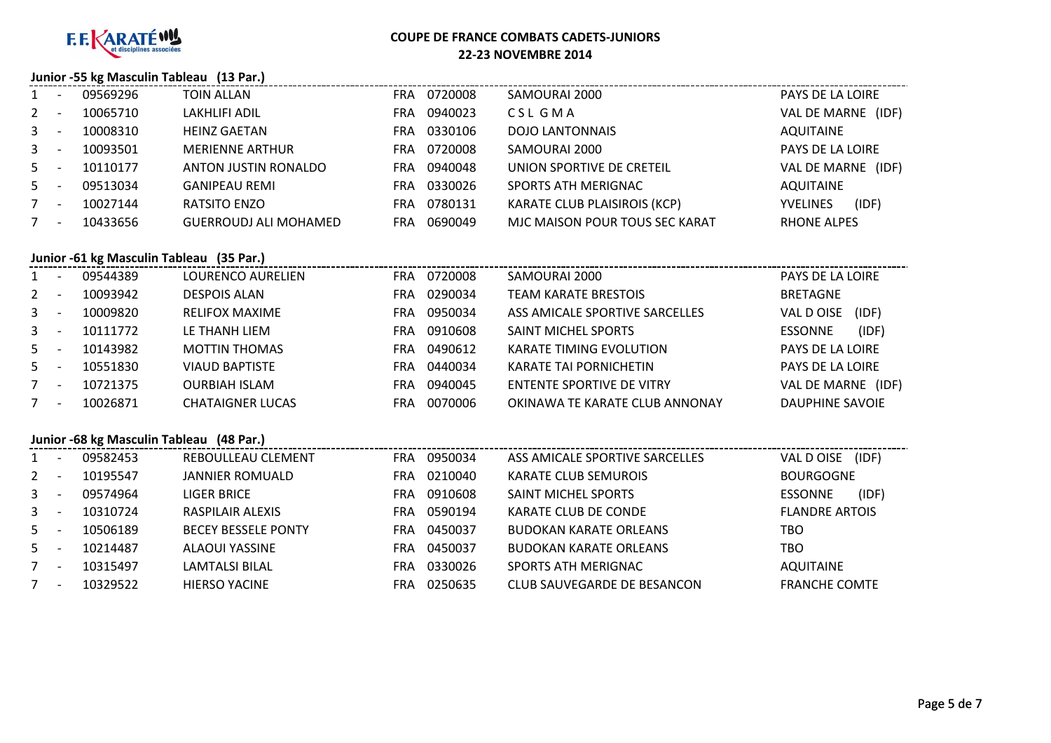

# **COUPE DE FRANCE COMBATS CADETS-JUNIORS**

**22-23 NOVEMBRE 2014**

### **Junior -55 kg Masculin Tableau (13 Par.)**

| 1           | 09569296 | TOIN ALLAN                   | FRA        | 0720008 | SAMOURAI 2000                       | PAYS DE LA LOIRE         |
|-------------|----------|------------------------------|------------|---------|-------------------------------------|--------------------------|
| $2^{\circ}$ | 10065710 | <b>LAKHLIFI ADIL</b>         | FRA        | 0940023 | CSL GMA                             | VAL DE MARNE<br>(IDF)    |
| $3^{\circ}$ | 10008310 | <b>HEINZ GAETAN</b>          | FRA        | 0330106 | <b>DOJO LANTONNAIS</b>              | AQUITAINE                |
| $3^{\circ}$ | 10093501 | <b>MERIENNE ARTHUR</b>       | <b>FRA</b> | 0720008 | SAMOURAI 2000                       | PAYS DE LA LOIRE         |
| $5 -$       | 10110177 | ANTON JUSTIN RONALDO         | FRA        | 0940048 | UNION SPORTIVE DE CRETEIL           | VAL DE MARNE<br>(IDF)    |
| $5 -$       | 09513034 | <b>GANIPEAU REMI</b>         | FRA        | 0330026 | SPORTS ATH MERIGNAC                 | <b>AQUITAINE</b>         |
| $7^{\circ}$ | 10027144 | RATSITO ENZO                 | FRA        | 0780131 | <b>KARATE CLUB PLAISIROIS (KCP)</b> | (IDF)<br><b>YVELINES</b> |
| 7           | 10433656 | <b>GUERROUDJ ALI MOHAMED</b> | FRA        | 0690049 | MJC MAISON POUR TOUS SEC KARAT      | <b>RHONE ALPES</b>       |

## **Junior -61 kg Masculin Tableau (35 Par.)**

| $1 \quad$      |                          | 09544389 | LOURENCO AURELIEN       | FRA | 0720008 | SAMOURAI 2000                  | PAYS DE LA LOIRE        |
|----------------|--------------------------|----------|-------------------------|-----|---------|--------------------------------|-------------------------|
| $2^{\circ}$    |                          | 10093942 | <b>DESPOIS ALAN</b>     | FRA | 0290034 | <b>TEAM KARATE BRESTOIS</b>    | <b>BRETAGNE</b>         |
| 3 <sup>1</sup> |                          | 10009820 | <b>RELIFOX MAXIME</b>   | FRA | 0950034 | ASS AMICALE SPORTIVE SARCELLES | (IDF)<br>VAL D OISE     |
| $3^{\circ}$    |                          | 10111772 | LE THANH LIEM           | FRA | 0910608 | SAINT MICHEL SPORTS            | (IDF)<br><b>ESSONNE</b> |
| $5 -$          |                          | 10143982 | <b>MOTTIN THOMAS</b>    | FRA | 0490612 | <b>KARATE TIMING EVOLUTION</b> | PAYS DE LA LOIRE        |
| $5 -$          |                          | 10551830 | <b>VIAUD BAPTISTE</b>   | FRA | 0440034 | <b>KARATE TAI PORNICHETIN</b>  | PAYS DE LA LOIRE        |
| 7              | $\overline{\phantom{a}}$ | 10721375 | <b>OURBIAH ISLAM</b>    | FRA | 0940045 | ENTENTE SPORTIVE DE VITRY      | VAL DE MARNE (IDF)      |
|                |                          | 10026871 | <b>CHATAIGNER LUCAS</b> | FRA | 0070006 | OKINAWA TE KARATE CLUB ANNONAY | DAUPHINE SAVOIE         |

### **Junior -68 kg Masculin Tableau (48 Par.)**

|                | 09582453 | REBOULLEAU CLEMENT         | FRA | 0950034 | ASS AMICALE SPORTIVE SARCELLES | (IDF)<br>VAL D OISE     |
|----------------|----------|----------------------------|-----|---------|--------------------------------|-------------------------|
| $2^{\circ}$    | 10195547 | <b>JANNIER ROMUALD</b>     | FRA | 0210040 | <b>KARATE CLUB SEMUROIS</b>    | <b>BOURGOGNE</b>        |
| 3 <sup>1</sup> | 09574964 | LIGER BRICE                | FRA | 0910608 | <b>SAINT MICHEL SPORTS</b>     | (IDF)<br><b>ESSONNE</b> |
| $\mathbf{3}$   | 10310724 | <b>RASPILAIR ALEXIS</b>    | FRA | 0590194 | KARATE CLUB DE CONDE           | <b>FLANDRE ARTOIS</b>   |
| $5 -$          | 10506189 | <b>BECEY BESSELE PONTY</b> | FRA | 0450037 | <b>BUDOKAN KARATE ORLEANS</b>  | TBO                     |
| $5 -$          | 10214487 | <b>ALAOUI YASSINE</b>      | FRA | 0450037 | <b>BUDOKAN KARATE ORLEANS</b>  | TBO                     |
| $7^{\circ}$    | 10315497 | LAMTALSI BILAL             | FRA | 0330026 | SPORTS ATH MERIGNAC            | <b>AQUITAINE</b>        |
|                | 10329522 | <b>HIERSO YACINE</b>       | FRA | 0250635 | CLUB SAUVEGARDE DE BESANCON    | <b>FRANCHE COMTE</b>    |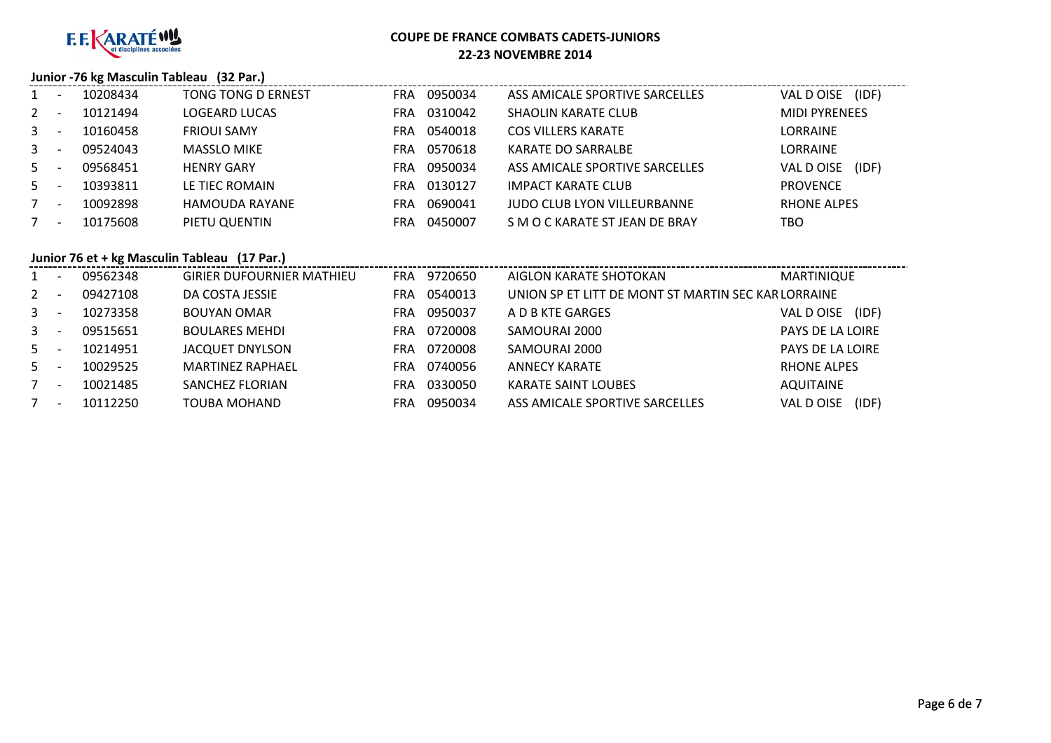

## **COUPE DE FRANCE COMBATS CADETS-JUNIORS**

#### **22-23 NOVEMBRE 2014**

## **Junior -76 kg Masculin Tableau (32 Par.)**

| $\mathbf{1}$   | 10208434 | TONG TONG D ERNEST   | FRA | 0950034 | ASS AMICALE SPORTIVE SARCELLES     | (IDF)<br>VAL D OISE  |
|----------------|----------|----------------------|-----|---------|------------------------------------|----------------------|
| $2^{\circ}$    | 10121494 | <b>LOGEARD LUCAS</b> | FRA | 0310042 | <b>SHAOLIN KARATE CLUB</b>         | <b>MIDI PYRENEES</b> |
| 3 <sup>1</sup> | 10160458 | <b>FRIOUI SAMY</b>   | FRA | 0540018 | <b>COS VILLERS KARATE</b>          | <b>LORRAINE</b>      |
| $3^{\circ}$    | 09524043 | <b>MASSLO MIKE</b>   | FRA | 0570618 | <b>KARATE DO SARRALBE</b>          | <b>LORRAINE</b>      |
| $5 -$          | 09568451 | <b>HENRY GARY</b>    | FRA | 0950034 | ASS AMICALE SPORTIVE SARCELLES     | VAL D OISE<br>(IDF)  |
| $5 -$          | 10393811 | LE TIEC ROMAIN       | FRA | 0130127 | <b>IMPACT KARATE CLUB</b>          | <b>PROVENCE</b>      |
|                | 10092898 | HAMOUDA RAYANE       | FRA | 0690041 | <b>JUDO CLUB LYON VILLEURBANNE</b> | <b>RHONE ALPES</b>   |
| 7              | 10175608 | PIETU QUENTIN        | FRA | 0450007 | S M O C KARATE ST JEAN DE BRAY     | TBO                  |

## **Junior 76 et + kg Masculin Tableau (17 Par.)**

|              | 09562348 | <b>GIRIER DUFOURNIER MATHIEU</b> | FRA        | 9720650 | AIGLON KARATE SHOTOKAN                             | MARTINIQUE              |
|--------------|----------|----------------------------------|------------|---------|----------------------------------------------------|-------------------------|
| $2^{\circ}$  | 09427108 | DA COSTA JESSIE                  | FRA        | 0540013 | UNION SP ET LITT DE MONT ST MARTIN SEC KARLORRAINE |                         |
| $\mathbf{3}$ | 10273358 | <b>BOUYAN OMAR</b>               | <b>FRA</b> | 0950037 | A D B KTE GARGES                                   | (IDF)<br>VAL DOISE      |
| $\mathbf{3}$ | 09515651 | <b>BOULARES MEHDI</b>            | <b>FRA</b> | 0720008 | SAMOURAI 2000                                      | <b>PAYS DE LA LOIRE</b> |
| 5            | 10214951 | JACQUET DNYLSON                  | <b>FRA</b> | 0720008 | SAMOURAI 2000                                      | PAYS DE LA LOIRE        |
| $5 -$        | 10029525 | <b>MARTINFZ RAPHAFL</b>          | <b>FRA</b> | 0740056 | <b>ANNECY KARATE</b>                               | RHONE ALPES             |
| 7            | 10021485 | SANCHEZ FLORIAN                  | FRA        | 0330050 | <b>KARATE SAINT LOUBES</b>                         | AQUITAINE               |
|              | 10112250 | <b>TOUBA MOHAND</b>              | FRA        | 0950034 | ASS AMICALE SPORTIVE SARCELLES                     | (IDF)<br>VAL D OISE     |